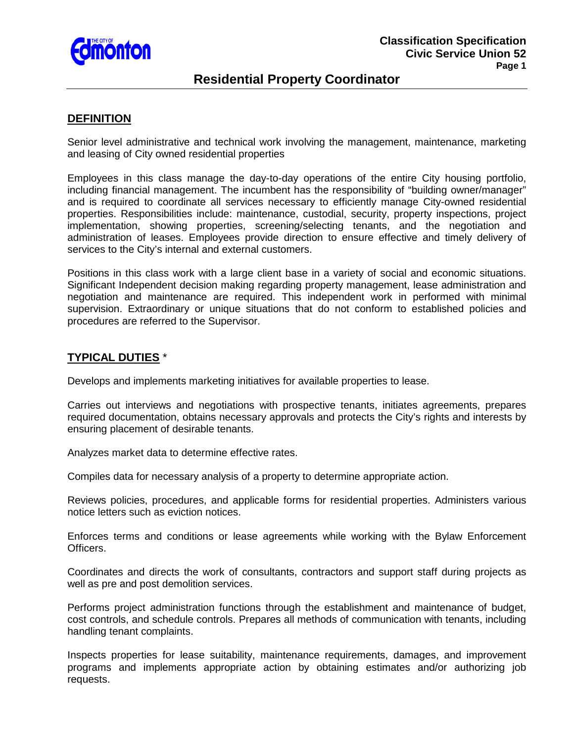

# **Residential Property Coordinator**

### **DEFINITION**

Senior level administrative and technical work involving the management, maintenance, marketing and leasing of City owned residential properties

Employees in this class manage the day-to-day operations of the entire City housing portfolio, including financial management. The incumbent has the responsibility of "building owner/manager" and is required to coordinate all services necessary to efficiently manage City-owned residential properties. Responsibilities include: maintenance, custodial, security, property inspections, project implementation, showing properties, screening/selecting tenants, and the negotiation and administration of leases. Employees provide direction to ensure effective and timely delivery of services to the City's internal and external customers.

Positions in this class work with a large client base in a variety of social and economic situations. Significant Independent decision making regarding property management, lease administration and negotiation and maintenance are required. This independent work in performed with minimal supervision. Extraordinary or unique situations that do not conform to established policies and procedures are referred to the Supervisor.

## **TYPICAL DUTIES** \*

Develops and implements marketing initiatives for available properties to lease.

Carries out interviews and negotiations with prospective tenants, initiates agreements, prepares required documentation, obtains necessary approvals and protects the City's rights and interests by ensuring placement of desirable tenants.

Analyzes market data to determine effective rates.

Compiles data for necessary analysis of a property to determine appropriate action.

Reviews policies, procedures, and applicable forms for residential properties. Administers various notice letters such as eviction notices.

Enforces terms and conditions or lease agreements while working with the Bylaw Enforcement Officers.

Coordinates and directs the work of consultants, contractors and support staff during projects as well as pre and post demolition services.

Performs project administration functions through the establishment and maintenance of budget, cost controls, and schedule controls. Prepares all methods of communication with tenants, including handling tenant complaints.

Inspects properties for lease suitability, maintenance requirements, damages, and improvement programs and implements appropriate action by obtaining estimates and/or authorizing job requests.